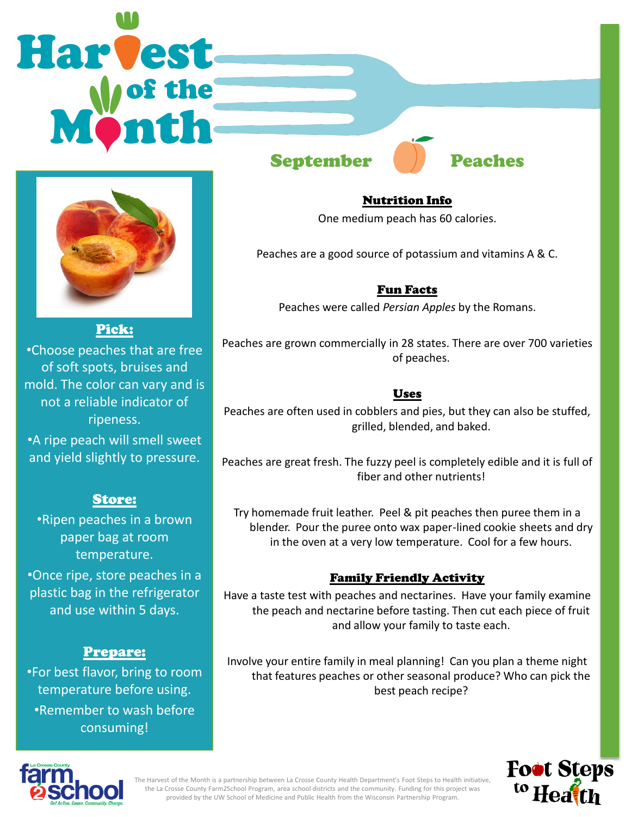# **Harvest**



Pick: •Choose peaches that are free of soft spots, bruises and mold. The color can vary and is not a reliable indicator of ripeness.

•A ripe peach will smell sweet and yield slightly to pressure.

## Store:

•Ripen peaches in a brown paper bag at room temperature.

•Once ripe, store peaches in a plastic bag in the refrigerator and use within 5 days.

#### Prepare:

•For best flavor, bring to room temperature before using. •Remember to wash before consuming!

# September **Peaches**

Nutrition Info One medium peach has 60 calories.

Peaches are a good source of potassium and vitamins A & C.

Fun Facts Peaches were called *Persian Apples* by the Romans.

Peaches are grown commercially in 28 states. There are over 700 varieties of peaches.

#### Uses

Peaches are often used in cobblers and pies, but they can also be stuffed, grilled, blended, and baked.

Peaches are great fresh. The fuzzy peel is completely edible and it is full of fiber and other nutrients!

Try homemade fruit leather. Peel & pit peaches then puree them in a blender. Pour the puree onto wax paper-lined cookie sheets and dry in the oven at a very low temperature. Cool for a few hours.

## Family Friendly Activity

Have a taste test with peaches and nectarines. Have your family examine the peach and nectarine before tasting. Then cut each piece of fruit and allow your family to taste each.

Involve your entire family in meal planning! Can you plan a theme night that features peaches or other seasonal produce? Who can pick the best peach recipe?





The Harvest of the Month is a partnership between La Crosse County Health Department's Foot Steps to Health initiative, the La Crosse County Farm2School Program, area school districts and the community. Funding for this project was provided by the UW School of Medicine and Public Health from the Wisconsin Partnership Program.